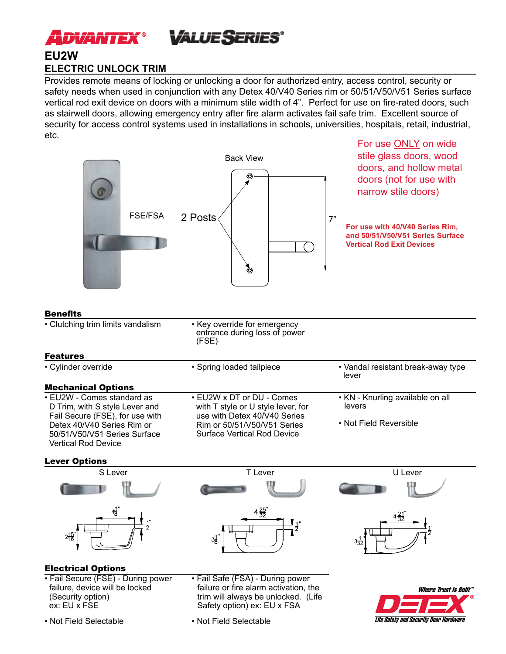

# **EU2W ELECTRIC UNLOCK TRIM**

Provides remote means of locking or unlocking a door for authorized entry, access control, security or safety needs when used in conjunction with any Detex 40/V40 Series rim or 50/51/V50/V51 Series surface vertical rod exit device on doors with a minimum stile width of 4". Perfect for use on fire-rated doors, such as stairwell doors, allowing emergency entry after fire alarm activates fail safe trim. Excellent source of security for access control systems used in installations in schools, universities, hospitals, retail, industrial, etc.



• Not Field Selectable

• Not Field Selectable